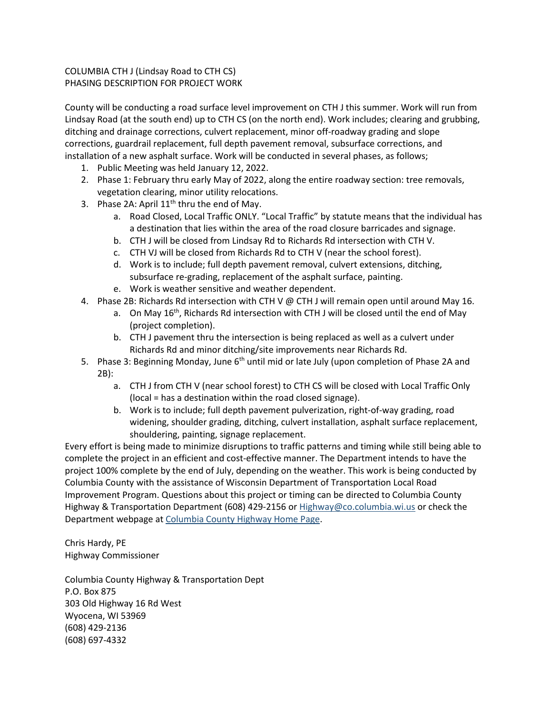## COLUMBIA CTH J (Lindsay Road to CTH CS) PHASING DESCRIPTION FOR PROJECT WORK

County will be conducting a road surface level improvement on CTH J this summer. Work will run from Lindsay Road (at the south end) up to CTH CS (on the north end). Work includes; clearing and grubbing, ditching and drainage corrections, culvert replacement, minor off-roadway grading and slope corrections, guardrail replacement, full depth pavement removal, subsurface corrections, and installation of a new asphalt surface. Work will be conducted in several phases, as follows;

- 1. Public Meeting was held January 12, 2022.
- 2. Phase 1: February thru early May of 2022, along the entire roadway section: tree removals, vegetation clearing, minor utility relocations.
- 3. Phase 2A: April  $11<sup>th</sup>$  thru the end of May.
	- a. Road Closed, Local Traffic ONLY. "Local Traffic" by statute means that the individual has a destination that lies within the area of the road closure barricades and signage.
	- b. CTH J will be closed from Lindsay Rd to Richards Rd intersection with CTH V.
	- c. CTH VJ will be closed from Richards Rd to CTH V (near the school forest).
	- d. Work is to include; full depth pavement removal, culvert extensions, ditching, subsurface re-grading, replacement of the asphalt surface, painting.
	- e. Work is weather sensitive and weather dependent.
- 4. Phase 2B: Richards Rd intersection with CTH V @ CTH J will remain open until around May 16.
	- a. On May  $16^{th}$ , Richards Rd intersection with CTH J will be closed until the end of May (project completion).
	- b. CTH J pavement thru the intersection is being replaced as well as a culvert under Richards Rd and minor ditching/site improvements near Richards Rd.
- 5. Phase 3: Beginning Monday, June 6<sup>th</sup> until mid or late July (upon completion of Phase 2A and 2B):
	- a. CTH J from CTH V (near school forest) to CTH CS will be closed with Local Traffic Only (local = has a destination within the road closed signage).
	- b. Work is to include; full depth pavement pulverization, right-of-way grading, road widening, shoulder grading, ditching, culvert installation, asphalt surface replacement, shouldering, painting, signage replacement.

Every effort is being made to minimize disruptions to traffic patterns and timing while still being able to complete the project in an efficient and cost-effective manner. The Department intends to have the project 100% complete by the end of July, depending on the weather. This work is being conducted by Columbia County with the assistance of Wisconsin Department of Transportation Local Road Improvement Program. Questions about this project or timing can be directed to Columbia County Highway & Transportation Department (608) 429-2156 or [Highway@co.columbia.wi.us](mailto:Highway@co.columbia.wi.us) or check the Department webpage at Columbia [County Highway Home Page.](https://www.co.columbia.wi.us/ColumbiaCounty/highway/HighwayDepartmentHomePage/tabid/601/Default.aspx)

Chris Hardy, PE Highway Commissioner

Columbia County Highway & Transportation Dept P.O. Box 875 303 Old Highway 16 Rd West Wyocena, WI 53969 (608) 429-2136 (608) 697-4332